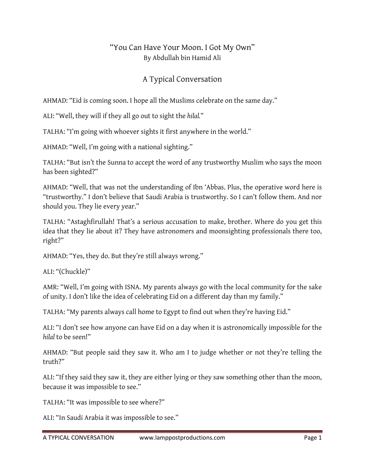## "You Can Have Your Moon. I Got My Own" By Abdullah bin Hamid Ali

## A Typical Conversation

AHMAD: "Eid is coming soon. I hope all the Muslims celebrate on the same day."

ALI: "Well, they will if they all go out to sight the hilal."

TALHA: "I'm going with whoever sights it first anywhere in the world."

AHMAD: "Well, I'm going with a national sighting."

TALHA: "But isn't the Sunna to accept the word of any trustworthy Muslim who says the moon has been sighted?"

AHMAD: "Well, that was not the understanding of Ibn 'Abbas. Plus, the operative word here is "trustworthy." I don't believe that Saudi Arabia is trustworthy. So I can't follow them. And nor should you. They lie every year."

TALHA: "Astaghfirullah! That's a serious accusation to make, brother. Where do you get this idea that they lie about it? They have astronomers and moonsighting professionals there too, right?"

AHMAD: "Yes, they do. But they're still always wrong."

ALI: "(Chuckle)"

AMR: "Well, I'm going with ISNA. My parents always go with the local community for the sake of unity. I don't like the idea of celebrating Eid on a different day than my family."

TALHA: "My parents always call home to Egypt to find out when they're having Eid."

ALI: "I don't see how anyone can have Eid on a day when it is astronomically impossible for the hilal to be seen!"

AHMAD: "But people said they saw it. Who am I to judge whether or not they're telling the truth?"

ALI: "If they said they saw it, they are either lying or they saw something other than the moon, because it was impossible to see."

TALHA: "It was impossible to see where?"

ALI: "In Saudi Arabia it was impossible to see."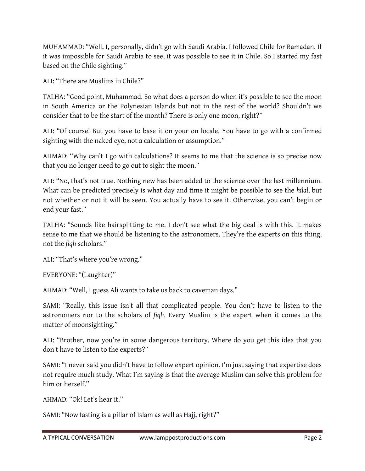MUHAMMAD: "Well, I, personally, didn't go with Saudi Arabia. I followed Chile for Ramadan. If it was impossible for Saudi Arabia to see, it was possible to see it in Chile. So I started my fast based on the Chile sighting."

ALI: "There are Muslims in Chile?"

TALHA: "Good point, Muhammad. So what does a person do when it's possible to see the moon in South America or the Polynesian Islands but not in the rest of the world? Shouldn't we consider that to be the start of the month? There is only one moon, right?"

ALI: "Of course! But you have to base it on your on locale. You have to go with a confirmed sighting with the naked eye, not a calculation or assumption."

AHMAD: "Why can't I go with calculations? It seems to me that the science is so precise now that you no longer need to go out to sight the moon."

ALI: "No, that's not true. Nothing new has been added to the science over the last millennium. What can be predicted precisely is what day and time it might be possible to see the hilal, but not whether or not it will be seen. You actually have to see it. Otherwise, you can't begin or end your fast."

TALHA: "Sounds like hairsplitting to me. I don't see what the big deal is with this. It makes sense to me that we should be listening to the astronomers. They're the experts on this thing, not the fiqh scholars."

ALI: "That's where you're wrong."

EVERYONE: "(Laughter)"

AHMAD: "Well, I guess Ali wants to take us back to caveman days."

SAMI: "Really, this issue isn't all that complicated people. You don't have to listen to the astronomers nor to the scholars of fiqh. Every Muslim is the expert when it comes to the matter of moonsighting."

ALI: "Brother, now you're in some dangerous territory. Where do you get this idea that you don't have to listen to the experts?"

SAMI: "I never said you didn't have to follow expert opinion. I'm just saying that expertise does not require much study. What I'm saying is that the average Muslim can solve this problem for him or herself."

AHMAD: "Ok! Let's hear it."

SAMI: "Now fasting is a pillar of Islam as well as Hajj, right?"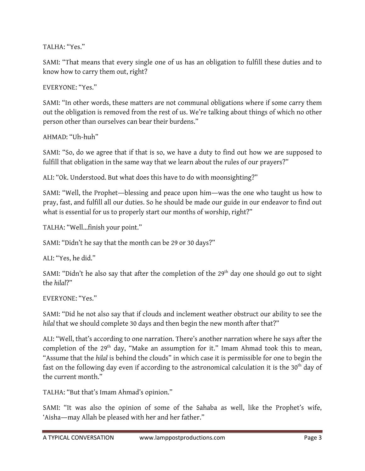TALHA: "Yes."

SAMI: "That means that every single one of us has an obligation to fulfill these duties and to know how to carry them out, right?

EVERYONE: "Yes."

SAMI: "In other words, these matters are not communal obligations where if some carry them out the obligation is removed from the rest of us. We're talking about things of which no other person other than ourselves can bear their burdens."

AHMAD: "Uh-huh"

SAMI: "So, do we agree that if that is so, we have a duty to find out how we are supposed to fulfill that obligation in the same way that we learn about the rules of our prayers?"

ALI: "Ok. Understood. But what does this have to do with moonsighting?"

SAMI: "Well, the Prophet―blessing and peace upon him―was the one who taught us how to pray, fast, and fulfill all our duties. So he should be made our guide in our endeavor to find out what is essential for us to properly start our months of worship, right?"

TALHA: "Well…finish your point."

SAMI: "Didn't he say that the month can be 29 or 30 days?"

ALI: "Yes, he did."

SAMI: "Didn't he also say that after the completion of the 29<sup>th</sup> day one should go out to sight the hilal?"

EVERYONE: "Yes."

SAMI: "Did he not also say that if clouds and inclement weather obstruct our ability to see the hilal that we should complete 30 days and then begin the new month after that?"

ALI: "Well, that's according to one narration. There's another narration where he says after the completion of the  $29<sup>th</sup>$  day, "Make an assumption for it." Imam Ahmad took this to mean, "Assume that the hilal is behind the clouds" in which case it is permissible for one to begin the fast on the following day even if according to the astronomical calculation it is the 30<sup>th</sup> day of the current month."

TALHA: "But that's Imam Ahmad's opinion."

SAMI: "It was also the opinion of some of the Sahaba as well, like the Prophet's wife, 'Aisha―may Allah be pleased with her and her father."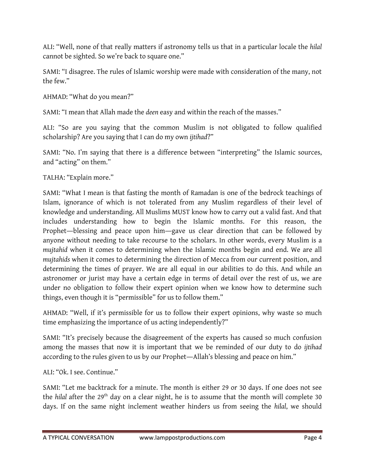ALI: "Well, none of that really matters if astronomy tells us that in a particular locale the hilal cannot be sighted. So we're back to square one."

SAMI: "I disagree. The rules of Islamic worship were made with consideration of the many, not the few."

AHMAD: "What do you mean?"

SAMI: "I mean that Allah made the deen easy and within the reach of the masses."

ALI: "So are you saying that the common Muslim is not obligated to follow qualified scholarship? Are you saying that I can do my own ijtihad?"

SAMI: "No. I'm saying that there is a difference between "interpreting" the Islamic sources, and "acting" on them."

TALHA: "Explain more."

SAMI: "What I mean is that fasting the month of Ramadan is one of the bedrock teachings of Islam, ignorance of which is not tolerated from any Muslim regardless of their level of knowledge and understanding. All Muslims MUST know how to carry out a valid fast. And that includes understanding how to begin the Islamic months. For this reason, the Prophet―blessing and peace upon him―gave us clear direction that can be followed by anyone without needing to take recourse to the scholars. In other words, every Muslim is a mujtahid when it comes to determining when the Islamic months begin and end. We are all mujtahids when it comes to determining the direction of Mecca from our current position, and determining the times of prayer. We are all equal in our abilities to do this. And while an astronomer or jurist may have a certain edge in terms of detail over the rest of us, we are under no obligation to follow their expert opinion when we know how to determine such things, even though it is "permissible" for us to follow them."

AHMAD: "Well, if it's permissible for us to follow their expert opinions, why waste so much time emphasizing the importance of us acting independently?"

SAMI: "It's precisely because the disagreement of the experts has caused so much confusion among the masses that now it is important that we be reminded of our duty to do ijtihad according to the rules given to us by our Prophet―Allah's blessing and peace on him."

ALI: "Ok. I see. Continue."

SAMI: "Let me backtrack for a minute. The month is either 29 or 30 days. If one does not see the hilal after the  $29<sup>th</sup>$  day on a clear night, he is to assume that the month will complete 30 days. If on the same night inclement weather hinders us from seeing the hilal, we should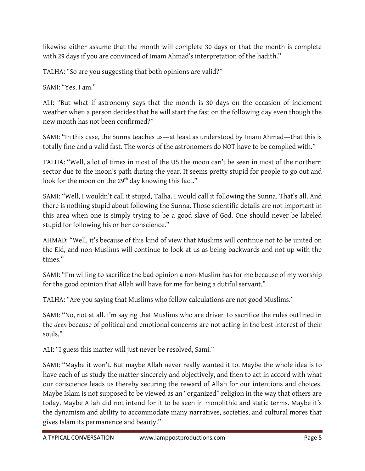likewise either assume that the month will complete 30 days or that the month is complete with 29 days if you are convinced of Imam Ahmad's interpretation of the hadith."

TALHA: "So are you suggesting that both opinions are valid?"

SAMI: "Yes, I am."

ALI: "But what if astronomy says that the month is 30 days on the occasion of inclement weather when a person decides that he will start the fast on the following day even though the new month has not been confirmed?"

SAMI: "In this case, the Sunna teaches us-at least as understood by Imam Ahmad-that this is totally fine and a valid fast. The words of the astronomers do NOT have to be complied with."

TALHA: "Well, a lot of times in most of the US the moon can't be seen in most of the northern sector due to the moon's path during the year. It seems pretty stupid for people to go out and look for the moon on the 29<sup>th</sup> day knowing this fact."

SAMI: "Well, I wouldn't call it stupid, Talha. I would call it following the Sunna. That's all. And there is nothing stupid about following the Sunna. Those scientific details are not important in this area when one is simply trying to be a good slave of God. One should never be labeled stupid for following his or her conscience."

AHMAD: "Well, it's because of this kind of view that Muslims will continue not to be united on the Eid, and non-Muslims will continue to look at us as being backwards and not up with the times."

SAMI: "I'm willing to sacrifice the bad opinion a non-Muslim has for me because of my worship for the good opinion that Allah will have for me for being a dutiful servant."

TALHA: "Are you saying that Muslims who follow calculations are not good Muslims."

SAMI: "No, not at all. I'm saying that Muslims who are driven to sacrifice the rules outlined in the deen because of political and emotional concerns are not acting in the best interest of their souls."

ALI: "I guess this matter will just never be resolved, Sami."

SAMI: "Maybe it won't. But maybe Allah never really wanted it to. Maybe the whole idea is to have each of us study the matter sincerely and objectively, and then to act in accord with what our conscience leads us thereby securing the reward of Allah for our intentions and choices. Maybe Islam is not supposed to be viewed as an "organized" religion in the way that others are today. Maybe Allah did not intend for it to be seen in monolithic and static terms. Maybe it's the dynamism and ability to accommodate many narratives, societies, and cultural mores that gives Islam its permanence and beauty."